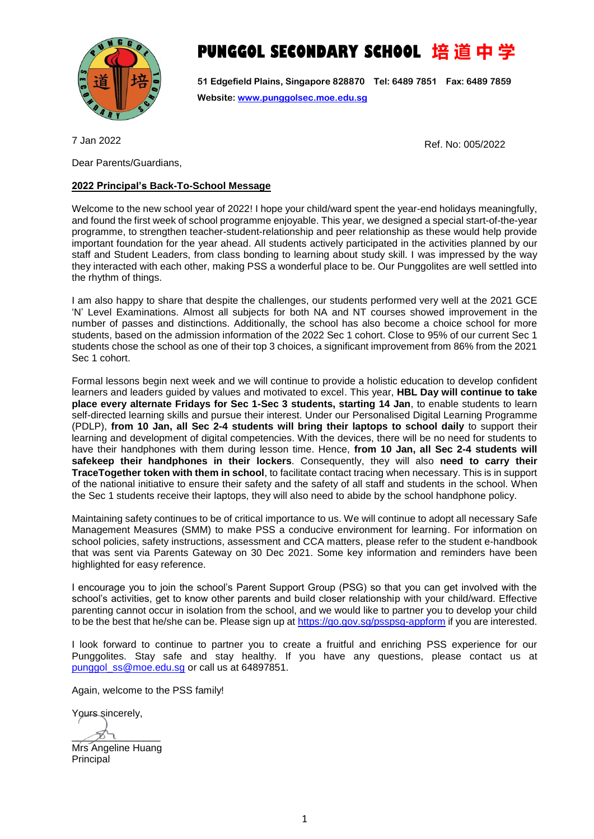

## **PUNGGOL SECONDARY SCHOOL 培 道 中 学**

**51 Edgefield Plains, Singapore 828870 Tel: 6489 7851 Fax: 6489 7859 Website[: www.punggolsec.moe.edu.sg](http://www.punggolsec.moe.edu.sg/)**

7 Jan 2022

Dear Parents/Guardians,

## **2022 Principal's Back-To-School Message**

Welcome to the new school year of 2022! I hope your child/ward spent the year-end holidays meaningfully, and found the first week of school programme enjoyable. This year, we designed a special start-of-the-year programme, to strengthen teacher-student-relationship and peer relationship as these would help provide important foundation for the year ahead. All students actively participated in the activities planned by our staff and Student Leaders, from class bonding to learning about study skill. I was impressed by the way they interacted with each other, making PSS a wonderful place to be. Our Punggolites are well settled into the rhythm of things.

I am also happy to share that despite the challenges, our students performed very well at the 2021 GCE 'N' Level Examinations. Almost all subjects for both NA and NT courses showed improvement in the number of passes and distinctions. Additionally, the school has also become a choice school for more students, based on the admission information of the 2022 Sec 1 cohort. Close to 95% of our current Sec 1 students chose the school as one of their top 3 choices, a significant improvement from 86% from the 2021 Sec 1 cohort.

Formal lessons begin next week and we will continue to provide a holistic education to develop confident learners and leaders guided by values and motivated to excel. This year, **HBL Day will continue to take place every alternate Fridays for Sec 1-Sec 3 students, starting 14 Jan**, to enable students to learn self-directed learning skills and pursue their interest. Under our Personalised Digital Learning Programme (PDLP), **from 10 Jan, all Sec 2-4 students will bring their laptops to school daily** to support their learning and development of digital competencies. With the devices, there will be no need for students to have their handphones with them during lesson time. Hence, **from 10 Jan, all Sec 2-4 students will safekeep their handphones in their lockers**. Consequently, they will also **need to carry their TraceTogether token with them in school**, to facilitate contact tracing when necessary. This is in support of the national initiative to ensure their safety and the safety of all staff and students in the school. When the Sec 1 students receive their laptops, they will also need to abide by the school handphone policy.

Maintaining safety continues to be of critical importance to us. We will continue to adopt all necessary Safe Management Measures (SMM) to make PSS a conducive environment for learning. For information on school policies, safety instructions, assessment and CCA matters, please refer to the student e-handbook that was sent via Parents Gateway on 30 Dec 2021. Some key information and reminders have been highlighted for easy reference.

I encourage you to join the school's Parent Support Group (PSG) so that you can get involved with the school's activities, get to know other parents and build closer relationship with your child/ward. Effective parenting cannot occur in isolation from the school, and we would like to partner you to develop your child to be the best that he/she can be. Please sign up a[t https://go.gov.sg/psspsg-appform](https://go.gov.sg/psspsg-appform) if you are interested.

I look forward to continue to partner you to create a fruitful and enriching PSS experience for our Punggolites. Stay safe and stay healthy. If you have any questions, please contact us at [punggol\\_ss@moe.edu.sg](mailto:punggol_ss@moe.edu.sg) or call us at 64897851.

Again, welcome to the PSS family!

Yours sincerely,

 $\cancel{\cancel{201}}$ Mrs Angeline Huang **Principal** 

Ref. No: 005/2022